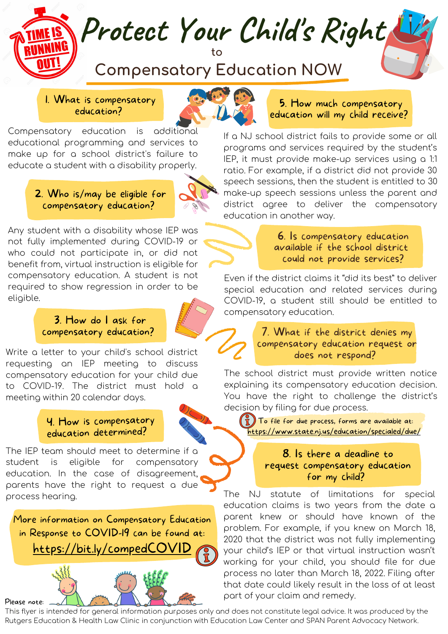# **Compensatory Education NOW**

**to**

**Protect Your Child' s Right**

1. What is compensatory education?

Compensatory education is additional educational programming and services to make up for a school district's failure to educate a student with a disability properly.

### 2. Who is/may be eligible for compensatory education?

Any student with a disability whose IEP was not fully implemented during COVID-19 or who could not participate in, or did not benefit from, virtual instruction is eligible for compensatory education. A student is not required to show regression in order to be eligible.

# 3. How do I ask for compensatory education?

Write a letter to your child's school district requesting an IEP meeting to discuss compensatory education for your child due to COVID-19. The district must hold a meeting within 20 calendar days.

## 4. How is compensatory education determined?

The IEP team should meet to determine if a student is eligible for compensatory education. In the case of disagreement, parents have the right to request a due process hearing.

More information on Compensatory Education in Response to COVID-19 can be found at: https://bit.ly/compedCOVI



### 5. How much compensatory education will my child receive?

If a NJ school district fails to provide some or all programs and services required by the student's IEP, it must provide make-up services using a 1:1 ratio. For example, if a district did not provide 30 speech sessions, then the student is entitled to 30 make-up speech sessions unless the parent and district agree to deliver the compensatory education in another way.

> 6. Is compensatory education available if the school district could not provide services?

Even if the district claims it "did its best" to deliver special education and related services during COVID-19, a student still should be entitled to compensatory education.

> 7. What if the district denies my compensatory education request or does not respond?

The school district must provide written notice explaining its compensatory education decision. You have the right to challenge the district's decision by filing for due process.

 $\left(\begin{array}{c} \bullet \\ \bullet \end{array}\right)$  To file for due process, forms are available at: https://www.state.nj.us/education/specialed/due/

### 8. Is there a deadline to request compensatory education for my child?

The NJ statute of limitations for special education claims is two years from the date a parent knew or should have known of the problem. For example, if you knew on March 18, 2020 that the district was not fully implementing your child's IEP or that virtual instruction wasn't working for your child, you should file for due process no later than March 18, 2022. Filing after that date could likely result in the loss of at least part of your claim and remedy.

This flyer is intended for general information purposes only and does not constitute legal advice. It was produced by the Rutgers Education & Health Law Clinic in conjunction with Education Law Center and SPAN Parent Advocacy Network.